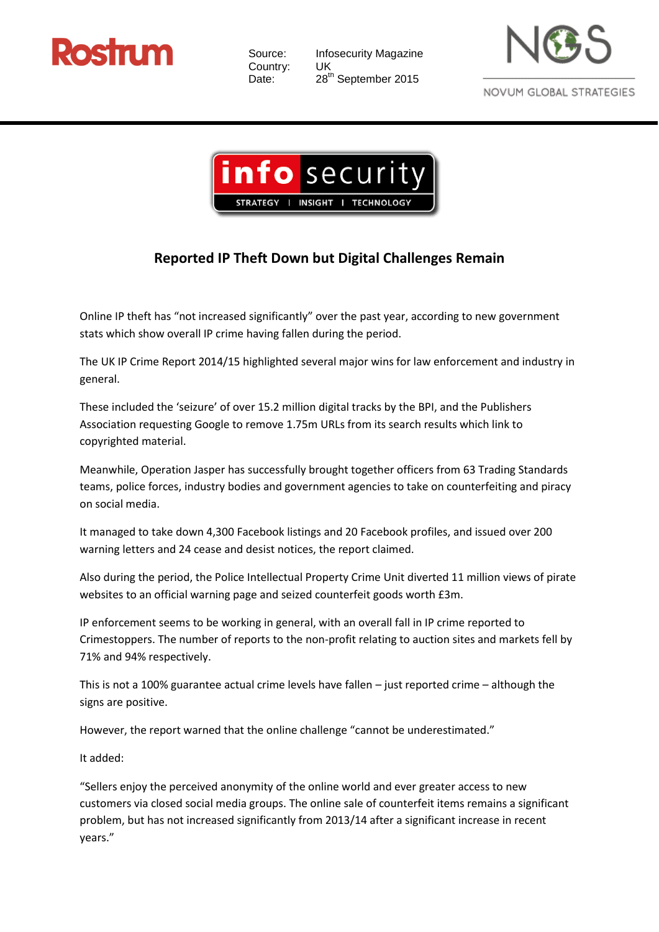

Source: Infosecurity Magazine Country: UK Date: 28<sup>th</sup> September 2015





## **Reported IP Theft Down but Digital Challenges Remain**

Online IP theft has "not increased significantly" over the past year, according to new government stats which show overall IP crime having fallen during the period.

The UK IP Crime Report 2014/15 highlighted several major wins for law enforcement and industry in general.

These included the 'seizure' of over 15.2 million digital tracks by the BPI, and the Publishers Association requesting Google to remove 1.75m URLs from its search results which link to copyrighted material.

Meanwhile, Operation Jasper has successfully brought together officers from 63 Trading Standards teams, police forces, industry bodies and government agencies to take on counterfeiting and piracy on social media.

It managed to take down 4,300 Facebook listings and 20 Facebook profiles, and issued over 200 warning letters and 24 cease and desist notices, the report claimed.

Also during the period, the Police Intellectual Property Crime Unit diverted 11 million views of pirate websites to an official warning page and seized counterfeit goods worth £3m.

IP enforcement seems to be working in general, with an overall fall in IP crime reported to Crimestoppers. The number of reports to the non-profit relating to auction sites and markets fell by 71% and 94% respectively.

This is not a 100% guarantee actual crime levels have fallen – just reported crime – although the signs are positive.

However, the report warned that the online challenge "cannot be underestimated."

It added:

"Sellers enjoy the perceived anonymity of the online world and ever greater access to new customers via closed social media groups. The online sale of counterfeit items remains a significant problem, but has not increased significantly from 2013/14 after a significant increase in recent years."